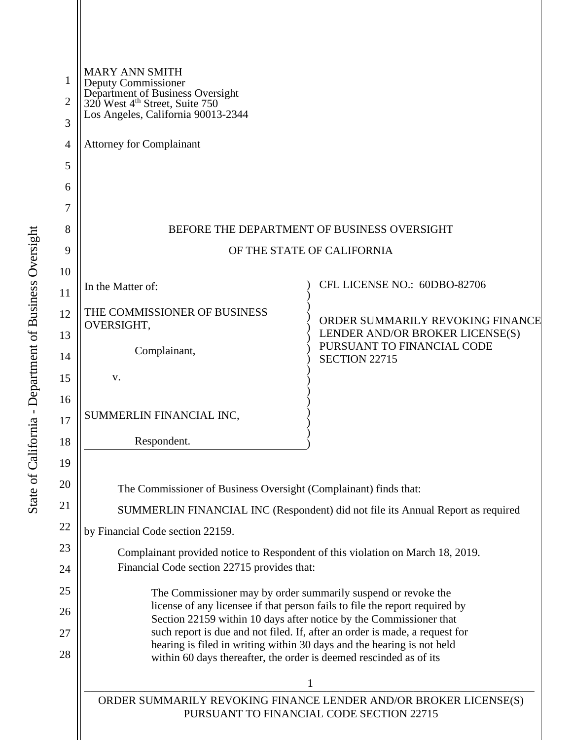| 1<br>$\overline{2}$ | <b>MARY ANN SMITH</b><br>Deputy Commissioner<br>Department of Business Oversight<br>320 West 4 <sup>th</sup> Street, Suite 750<br>Los Angeles, California 90013-2344                                                                                                                                                                                                                                                              |                                                                                                   |
|---------------------|-----------------------------------------------------------------------------------------------------------------------------------------------------------------------------------------------------------------------------------------------------------------------------------------------------------------------------------------------------------------------------------------------------------------------------------|---------------------------------------------------------------------------------------------------|
| 3                   |                                                                                                                                                                                                                                                                                                                                                                                                                                   |                                                                                                   |
| 4<br>5              | <b>Attorney for Complainant</b>                                                                                                                                                                                                                                                                                                                                                                                                   |                                                                                                   |
| 6                   |                                                                                                                                                                                                                                                                                                                                                                                                                                   |                                                                                                   |
| 7                   |                                                                                                                                                                                                                                                                                                                                                                                                                                   |                                                                                                   |
| 8                   | BEFORE THE DEPARTMENT OF BUSINESS OVERSIGHT                                                                                                                                                                                                                                                                                                                                                                                       |                                                                                                   |
| 9                   | OF THE STATE OF CALIFORNIA                                                                                                                                                                                                                                                                                                                                                                                                        |                                                                                                   |
| 10                  |                                                                                                                                                                                                                                                                                                                                                                                                                                   |                                                                                                   |
| 11                  | In the Matter of:                                                                                                                                                                                                                                                                                                                                                                                                                 | CFL LICENSE NO.: 60DBO-82706                                                                      |
| 12                  | THE COMMISSIONER OF BUSINESS<br>OVERSIGHT,<br>Complainant,                                                                                                                                                                                                                                                                                                                                                                        | ORDER SUMMARILY REVOKING FINANCE<br>LENDER AND/OR BROKER LICENSE(S)<br>PURSUANT TO FINANCIAL CODE |
| 13                  |                                                                                                                                                                                                                                                                                                                                                                                                                                   |                                                                                                   |
| 14                  |                                                                                                                                                                                                                                                                                                                                                                                                                                   | SECTION 22715                                                                                     |
| 15<br>16            | V.                                                                                                                                                                                                                                                                                                                                                                                                                                |                                                                                                   |
| $17\,$              | SUMMERLIN FINANCIAL INC,                                                                                                                                                                                                                                                                                                                                                                                                          |                                                                                                   |
| 18                  | Respondent.                                                                                                                                                                                                                                                                                                                                                                                                                       |                                                                                                   |
| 19                  |                                                                                                                                                                                                                                                                                                                                                                                                                                   |                                                                                                   |
| 20                  | The Commissioner of Business Oversight (Complainant) finds that:                                                                                                                                                                                                                                                                                                                                                                  |                                                                                                   |
| 21                  | SUMMERLIN FINANCIAL INC (Respondent) did not file its Annual Report as required                                                                                                                                                                                                                                                                                                                                                   |                                                                                                   |
| 22                  | by Financial Code section 22159.                                                                                                                                                                                                                                                                                                                                                                                                  |                                                                                                   |
| 23                  | Complainant provided notice to Respondent of this violation on March 18, 2019.                                                                                                                                                                                                                                                                                                                                                    |                                                                                                   |
| 24                  | Financial Code section 22715 provides that:                                                                                                                                                                                                                                                                                                                                                                                       |                                                                                                   |
| 25                  | The Commissioner may by order summarily suspend or revoke the<br>license of any licensee if that person fails to file the report required by                                                                                                                                                                                                                                                                                      |                                                                                                   |
| 26                  | Section 22159 within 10 days after notice by the Commissioner that<br>such report is due and not filed. If, after an order is made, a request for<br>hearing is filed in writing within 30 days and the hearing is not held<br>within 60 days thereafter, the order is deemed rescinded as of its<br>$\mathbf{1}$<br>ORDER SUMMARILY REVOKING FINANCE LENDER AND/OR BROKER LICENSE(S)<br>PURSUANT TO FINANCIAL CODE SECTION 22715 |                                                                                                   |
| 27<br>28            |                                                                                                                                                                                                                                                                                                                                                                                                                                   |                                                                                                   |
|                     |                                                                                                                                                                                                                                                                                                                                                                                                                                   |                                                                                                   |
|                     |                                                                                                                                                                                                                                                                                                                                                                                                                                   |                                                                                                   |
|                     |                                                                                                                                                                                                                                                                                                                                                                                                                                   |                                                                                                   |
|                     |                                                                                                                                                                                                                                                                                                                                                                                                                                   |                                                                                                   |